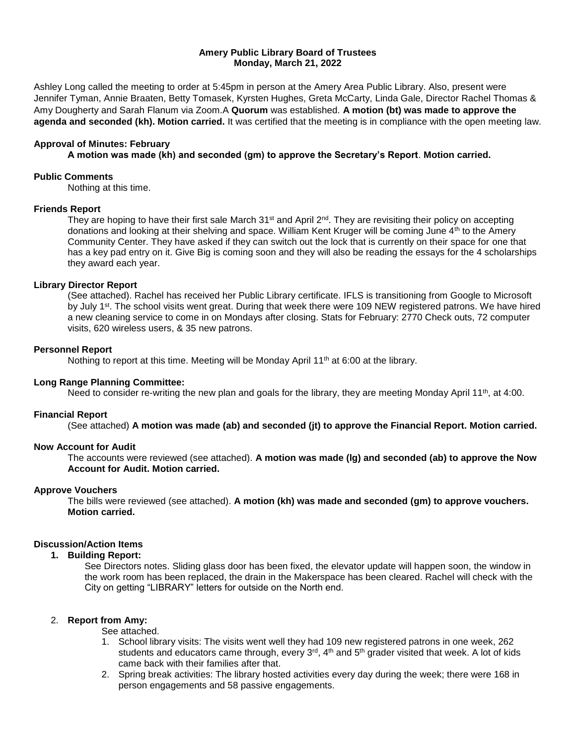#### **Amery Public Library Board of Trustees Monday, March 21, 2022**

Ashley Long called the meeting to order at 5:45pm in person at the Amery Area Public Library. Also, present were Jennifer Tyman, Annie Braaten, Betty Tomasek, Kyrsten Hughes, Greta McCarty, Linda Gale, Director Rachel Thomas & Amy Dougherty and Sarah Flanum via Zoom.A **Quorum** was established. **A motion (bt) was made to approve the agenda and seconded (kh). Motion carried.** It was certified that the meeting is in compliance with the open meeting law.

## **Approval of Minutes: February**

**A motion was made (kh) and seconded (gm) to approve the Secretary's Report**. **Motion carried.**

#### **Public Comments**

Nothing at this time.

# **Friends Report**

They are hoping to have their first sale March 31<sup>st</sup> and April 2<sup>nd</sup>. They are revisiting their policy on accepting donations and looking at their shelving and space. William Kent Kruger will be coming June 4th to the Amery Community Center. They have asked if they can switch out the lock that is currently on their space for one that has a key pad entry on it. Give Big is coming soon and they will also be reading the essays for the 4 scholarships they award each year.

# **Library Director Report**

(See attached). Rachel has received her Public Library certificate. IFLS is transitioning from Google to Microsoft by July 1<sup>st</sup>. The school visits went great. During that week there were 109 NEW registered patrons. We have hired a new cleaning service to come in on Mondays after closing. Stats for February: 2770 Check outs, 72 computer visits, 620 wireless users, & 35 new patrons.

#### **Personnel Report**

Nothing to report at this time. Meeting will be Monday April 11<sup>th</sup> at 6:00 at the library.

#### **Long Range Planning Committee:**

Need to consider re-writing the new plan and goals for the library, they are meeting Monday April 11<sup>th</sup>, at 4:00.

#### **Financial Report**

(See attached) **A motion was made (ab) and seconded (jt) to approve the Financial Report. Motion carried.** 

# **Now Account for Audit**

The accounts were reviewed (see attached). **A motion was made (lg) and seconded (ab) to approve the Now Account for Audit. Motion carried.** 

# **Approve Vouchers**

The bills were reviewed (see attached). **A motion (kh) was made and seconded (gm) to approve vouchers. Motion carried.** 

# **Discussion/Action Items**

# **1. Building Report:**

See Directors notes. Sliding glass door has been fixed, the elevator update will happen soon, the window in the work room has been replaced, the drain in the Makerspace has been cleared. Rachel will check with the City on getting "LIBRARY" letters for outside on the North end.

#### 2. **Report from Amy:**

See attached.

- 1. School library visits: The visits went well they had 109 new registered patrons in one week, 262 students and educators came through, every 3<sup>rd</sup>, 4<sup>th</sup> and 5<sup>th</sup> grader visited that week. A lot of kids came back with their families after that.
- 2. Spring break activities: The library hosted activities every day during the week; there were 168 in person engagements and 58 passive engagements.